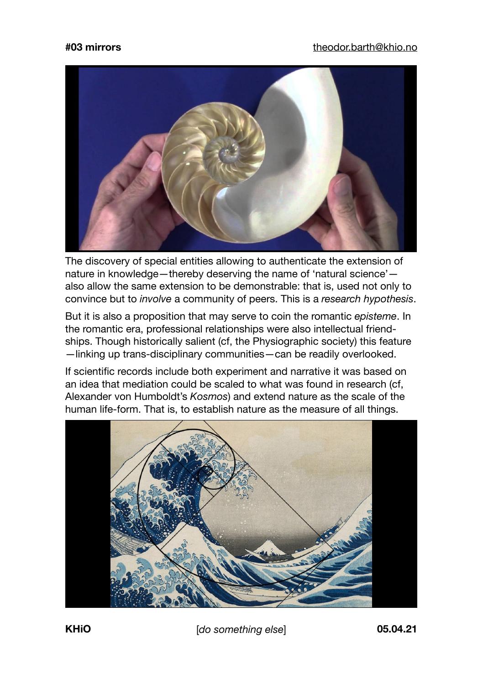

The discovery of special entities allowing to authenticate the extension of nature in knowledge—thereby deserving the name of 'natural science' also allow the same extension to be demonstrable: that is, used not only to convince but to *involve* a community of peers. This is a *research hypothesis*.

But it is also a proposition that may serve to coin the romantic *episteme*. In the romantic era, professional relationships were also intellectual friendships. Though historically salient (cf, the Physiographic society) this feature —linking up trans-disciplinary communities—can be readily overlooked.

If scientific records include both experiment and narrative it was based on an idea that mediation could be scaled to what was found in research (cf, Alexander von Humboldt's *Kosmos*) and extend nature as the scale of the human life-form. That is, to establish nature as the measure of all things.